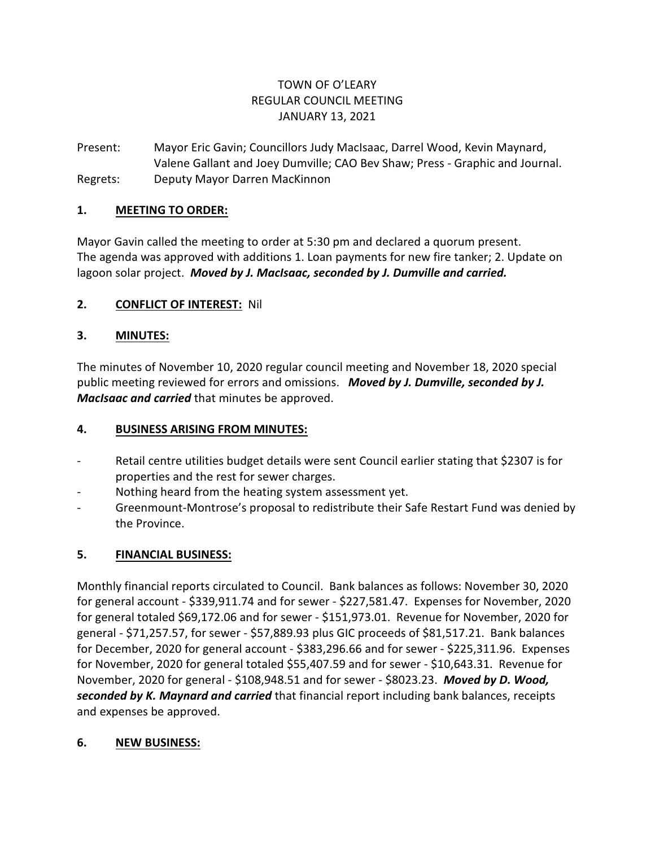# TOWN OF O'LEARY REGULAR COUNCIL MEETING JANUARY 13, 2021

Present: Mayor Eric Gavin; Councillors Judy MacIsaac, Darrel Wood, Kevin Maynard, Valene Gallant and Joey Dumville; CAO Bev Shaw; Press - Graphic and Journal. Regrets: Deputy Mayor Darren MacKinnon

### **1. MEETING TO ORDER:**

Mayor Gavin called the meeting to order at 5:30 pm and declared a quorum present. The agenda was approved with additions 1. Loan payments for new fire tanker; 2. Update on lagoon solar project. *Moved by J. MacIsaac, seconded by J. Dumville and carried.*

### **2. CONFLICT OF INTEREST:** Nil

### **3. MINUTES:**

The minutes of November 10, 2020 regular council meeting and November 18, 2020 special public meeting reviewed for errors and omissions. *Moved by J. Dumville, seconded by J. MacIsaac and carried* that minutes be approved.

#### **4. BUSINESS ARISING FROM MINUTES:**

- Retail centre utilities budget details were sent Council earlier stating that \$2307 is for properties and the rest for sewer charges.
- Nothing heard from the heating system assessment yet.
- Greenmount-Montrose's proposal to redistribute their Safe Restart Fund was denied by the Province.

### **5. FINANCIAL BUSINESS:**

Monthly financial reports circulated to Council. Bank balances as follows: November 30, 2020 for general account - \$339,911.74 and for sewer - \$227,581.47. Expenses for November, 2020 for general totaled \$69,172.06 and for sewer - \$151,973.01. Revenue for November, 2020 for general - \$71,257.57, for sewer - \$57,889.93 plus GIC proceeds of \$81,517.21. Bank balances for December, 2020 for general account - \$383,296.66 and for sewer - \$225,311.96. Expenses for November, 2020 for general totaled \$55,407.59 and for sewer - \$10,643.31. Revenue for November, 2020 for general - \$108,948.51 and for sewer - \$8023.23. *Moved by D. Wood, seconded by K. Maynard and carried* that financial report including bank balances, receipts and expenses be approved.

#### **6. NEW BUSINESS:**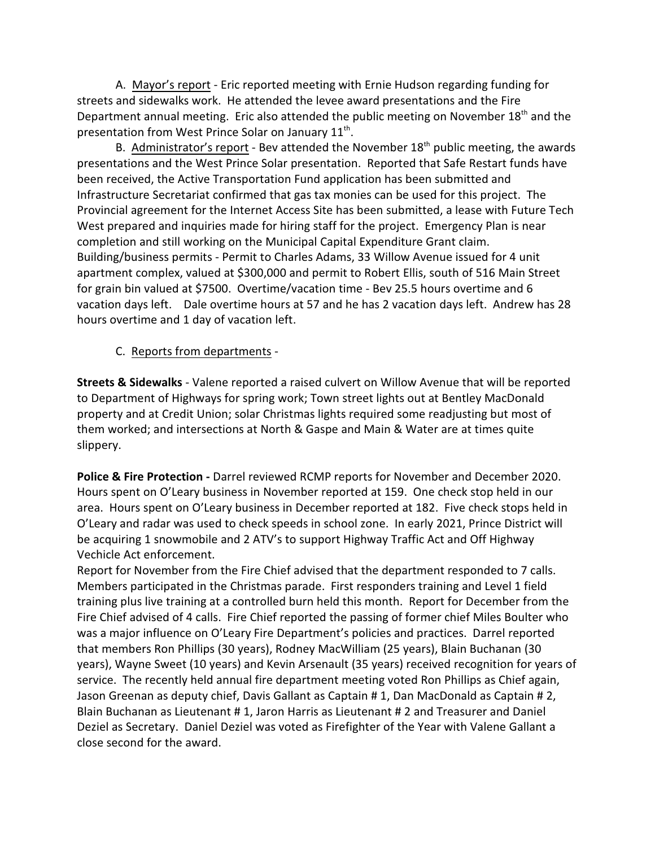A. Mayor's report - Eric reported meeting with Ernie Hudson regarding funding for streets and sidewalks work. He attended the levee award presentations and the Fire Department annual meeting. Eric also attended the public meeting on November 18<sup>th</sup> and the presentation from West Prince Solar on January  $11^{\text{th}}$ .

B. Administrator's report - Bev attended the November 18<sup>th</sup> public meeting, the awards presentations and the West Prince Solar presentation. Reported that Safe Restart funds have been received, the Active Transportation Fund application has been submitted and Infrastructure Secretariat confirmed that gas tax monies can be used for this project. The Provincial agreement for the Internet Access Site has been submitted, a lease with Future Tech West prepared and inquiries made for hiring staff for the project. Emergency Plan is near completion and still working on the Municipal Capital Expenditure Grant claim. Building/business permits - Permit to Charles Adams, 33 Willow Avenue issued for 4 unit apartment complex, valued at \$300,000 and permit to Robert Ellis, south of 516 Main Street for grain bin valued at \$7500. Overtime/vacation time - Bev 25.5 hours overtime and 6 vacation days left. Dale overtime hours at 57 and he has 2 vacation days left. Andrew has 28 hours overtime and 1 day of vacation left.

C. Reports from departments -

**Streets & Sidewalks** - Valene reported a raised culvert on Willow Avenue that will be reported to Department of Highways for spring work; Town street lights out at Bentley MacDonald property and at Credit Union; solar Christmas lights required some readjusting but most of them worked; and intersections at North & Gaspe and Main & Water are at times quite slippery.

**Police & Fire Protection -** Darrel reviewed RCMP reports for November and December 2020. Hours spent on O'Leary business in November reported at 159. One check stop held in our area. Hours spent on O'Leary business in December reported at 182. Five check stops held in O'Leary and radar was used to check speeds in school zone. In early 2021, Prince District will be acquiring 1 snowmobile and 2 ATV's to support Highway Traffic Act and Off Highway Vechicle Act enforcement.

Report for November from the Fire Chief advised that the department responded to 7 calls. Members participated in the Christmas parade. First responders training and Level 1 field training plus live training at a controlled burn held this month. Report for December from the Fire Chief advised of 4 calls. Fire Chief reported the passing of former chief Miles Boulter who was a major influence on O'Leary Fire Department's policies and practices. Darrel reported that members Ron Phillips (30 years), Rodney MacWilliam (25 years), Blain Buchanan (30 years), Wayne Sweet (10 years) and Kevin Arsenault (35 years) received recognition for years of service. The recently held annual fire department meeting voted Ron Phillips as Chief again, Jason Greenan as deputy chief, Davis Gallant as Captain # 1, Dan MacDonald as Captain # 2, Blain Buchanan as Lieutenant # 1, Jaron Harris as Lieutenant # 2 and Treasurer and Daniel Deziel as Secretary. Daniel Deziel was voted as Firefighter of the Year with Valene Gallant a close second for the award.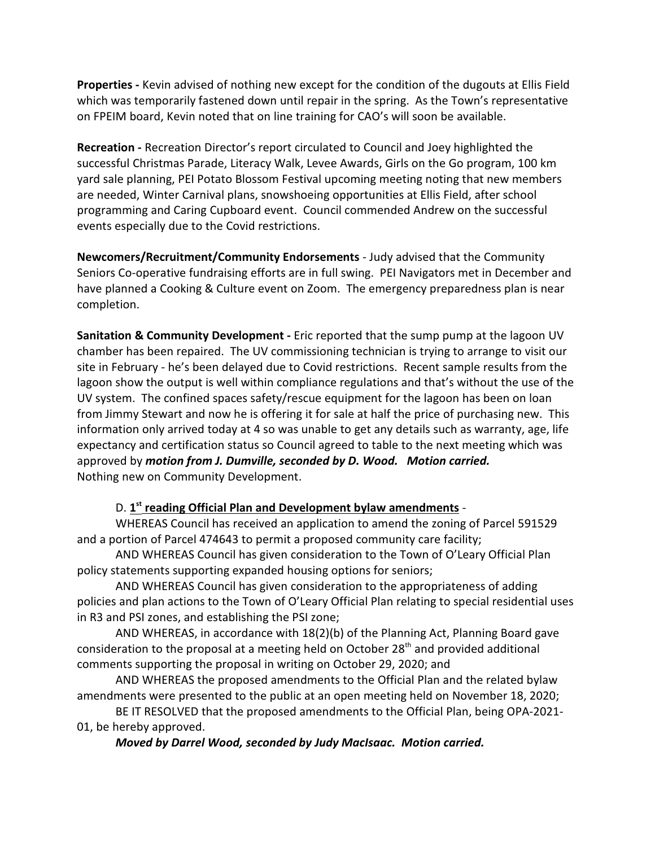**Properties -** Kevin advised of nothing new except for the condition of the dugouts at Ellis Field which was temporarily fastened down until repair in the spring. As the Town's representative on FPEIM board, Kevin noted that on line training for CAO's will soon be available.

**Recreation -** Recreation Director's report circulated to Council and Joey highlighted the successful Christmas Parade, Literacy Walk, Levee Awards, Girls on the Go program, 100 km yard sale planning, PEI Potato Blossom Festival upcoming meeting noting that new members are needed, Winter Carnival plans, snowshoeing opportunities at Ellis Field, after school programming and Caring Cupboard event. Council commended Andrew on the successful events especially due to the Covid restrictions.

**Newcomers/Recruitment/Community Endorsements** - Judy advised that the Community Seniors Co-operative fundraising efforts are in full swing. PEI Navigators met in December and have planned a Cooking & Culture event on Zoom. The emergency preparedness plan is near completion.

**Sanitation & Community Development -** Eric reported that the sump pump at the lagoon UV chamber has been repaired. The UV commissioning technician is trying to arrange to visit our site in February - he's been delayed due to Covid restrictions. Recent sample results from the lagoon show the output is well within compliance regulations and that's without the use of the UV system. The confined spaces safety/rescue equipment for the lagoon has been on loan from Jimmy Stewart and now he is offering it for sale at half the price of purchasing new. This information only arrived today at 4 so was unable to get any details such as warranty, age, life expectancy and certification status so Council agreed to table to the next meeting which was approved by *motion from J. Dumville, seconded by D. Wood. Motion carried.* Nothing new on Community Development.

### D. 1<sup>st</sup> reading Official Plan and Development bylaw amendments -

WHEREAS Council has received an application to amend the zoning of Parcel 591529 and a portion of Parcel 474643 to permit a proposed community care facility;

AND WHEREAS Council has given consideration to the Town of O'Leary Official Plan policy statements supporting expanded housing options for seniors;

AND WHEREAS Council has given consideration to the appropriateness of adding policies and plan actions to the Town of O'Leary Official Plan relating to special residential uses in R3 and PSI zones, and establishing the PSI zone;

AND WHEREAS, in accordance with 18(2)(b) of the Planning Act, Planning Board gave consideration to the proposal at a meeting held on October  $28<sup>th</sup>$  and provided additional comments supporting the proposal in writing on October 29, 2020; and

AND WHEREAS the proposed amendments to the Official Plan and the related bylaw amendments were presented to the public at an open meeting held on November 18, 2020;

BE IT RESOLVED that the proposed amendments to the Official Plan, being OPA-2021- 01, be hereby approved.

*Moved by Darrel Wood, seconded by Judy MacIsaac. Motion carried.*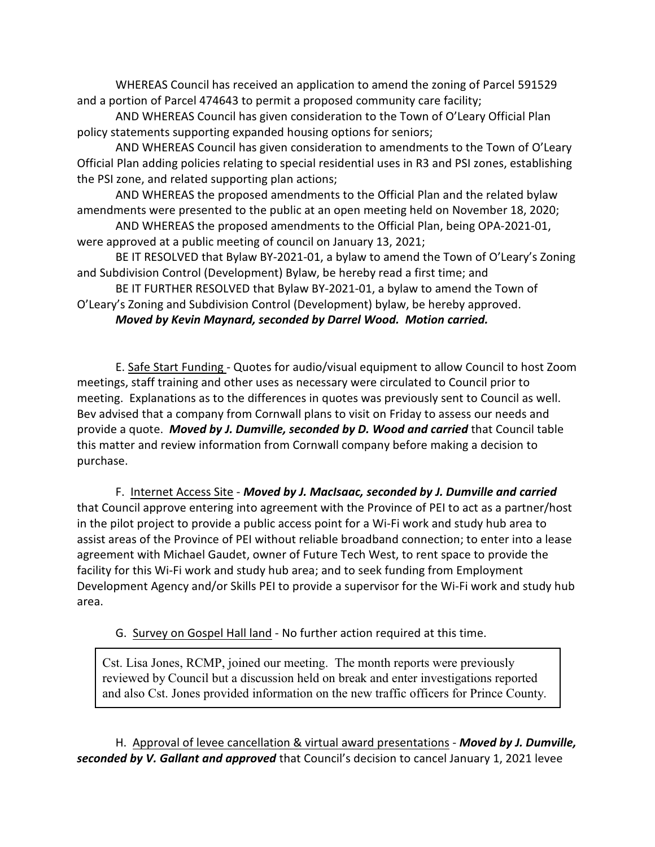WHEREAS Council has received an application to amend the zoning of Parcel 591529 and a portion of Parcel 474643 to permit a proposed community care facility;

AND WHEREAS Council has given consideration to the Town of O'Leary Official Plan policy statements supporting expanded housing options for seniors;

AND WHEREAS Council has given consideration to amendments to the Town of O'Leary Official Plan adding policies relating to special residential uses in R3 and PSI zones, establishing the PSI zone, and related supporting plan actions;

AND WHEREAS the proposed amendments to the Official Plan and the related bylaw amendments were presented to the public at an open meeting held on November 18, 2020;

AND WHEREAS the proposed amendments to the Official Plan, being OPA-2021-01, were approved at a public meeting of council on January 13, 2021;

BE IT RESOLVED that Bylaw BY-2021-01, a bylaw to amend the Town of O'Leary's Zoning and Subdivision Control (Development) Bylaw, be hereby read a first time; and

BE IT FURTHER RESOLVED that Bylaw BY-2021-01, a bylaw to amend the Town of O'Leary's Zoning and Subdivision Control (Development) bylaw, be hereby approved.

*Moved by Kevin Maynard, seconded by Darrel Wood. Motion carried.*

E. Safe Start Funding - Quotes for audio/visual equipment to allow Council to host Zoom meetings, staff training and other uses as necessary were circulated to Council prior to meeting. Explanations as to the differences in quotes was previously sent to Council as well. Bev advised that a company from Cornwall plans to visit on Friday to assess our needs and provide a quote. *Moved by J. Dumville, seconded by D. Wood and carried* that Council table this matter and review information from Cornwall company before making a decision to purchase.

F. Internet Access Site - *Moved by J. MacIsaac, seconded by J. Dumville and carried* that Council approve entering into agreement with the Province of PEI to act as a partner/host in the pilot project to provide a public access point for a Wi-Fi work and study hub area to assist areas of the Province of PEI without reliable broadband connection; to enter into a lease agreement with Michael Gaudet, owner of Future Tech West, to rent space to provide the facility for this Wi-Fi work and study hub area; and to seek funding from Employment Development Agency and/or Skills PEI to provide a supervisor for the Wi-Fi work and study hub area.

G. Survey on Gospel Hall land - No further action required at this time.

Cst. Lisa Jones, RCMP, joined our meeting. The month reports were previously reviewed by Council but a discussion held on break and enter investigations reported and also Cst. Jones provided information on the new traffic officers for Prince County.

H. Approval of levee cancellation & virtual award presentations - *Moved by J. Dumville, seconded by V. Gallant and approved* that Council's decision to cancel January 1, 2021 levee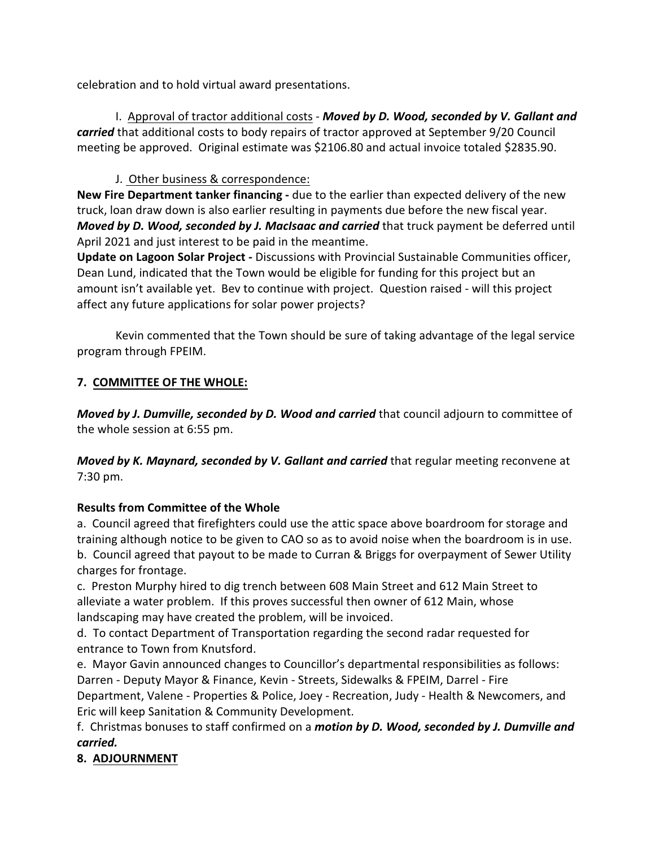celebration and to hold virtual award presentations.

I. Approval of tractor additional costs - *Moved by D. Wood, seconded by V. Gallant and carried* that additional costs to body repairs of tractor approved at September 9/20 Council meeting be approved. Original estimate was \$2106.80 and actual invoice totaled \$2835.90.

## J. Other business & correspondence:

**New Fire Department tanker financing -** due to the earlier than expected delivery of the new truck, loan draw down is also earlier resulting in payments due before the new fiscal year. *Moved by D. Wood, seconded by J. MacIsaac and carried* that truck payment be deferred until April 2021 and just interest to be paid in the meantime.

**Update on Lagoon Solar Project -** Discussions with Provincial Sustainable Communities officer, Dean Lund, indicated that the Town would be eligible for funding for this project but an amount isn't available yet. Bev to continue with project. Question raised - will this project affect any future applications for solar power projects?

Kevin commented that the Town should be sure of taking advantage of the legal service program through FPEIM.

# **7. COMMITTEE OF THE WHOLE:**

*Moved by J. Dumville, seconded by D. Wood and carried* that council adjourn to committee of the whole session at 6:55 pm.

*Moved by K. Maynard, seconded by V. Gallant and carried* that regular meeting reconvene at 7:30 pm.

# **Results from Committee of the Whole**

a. Council agreed that firefighters could use the attic space above boardroom for storage and training although notice to be given to CAO so as to avoid noise when the boardroom is in use. b. Council agreed that payout to be made to Curran & Briggs for overpayment of Sewer Utility charges for frontage.

c. Preston Murphy hired to dig trench between 608 Main Street and 612 Main Street to alleviate a water problem. If this proves successful then owner of 612 Main, whose landscaping may have created the problem, will be invoiced.

d. To contact Department of Transportation regarding the second radar requested for entrance to Town from Knutsford.

e. Mayor Gavin announced changes to Councillor's departmental responsibilities as follows: Darren - Deputy Mayor & Finance, Kevin - Streets, Sidewalks & FPEIM, Darrel - Fire Department, Valene - Properties & Police, Joey - Recreation, Judy - Health & Newcomers, and Eric will keep Sanitation & Community Development.

f. Christmas bonuses to staff confirmed on a *motion by D. Wood, seconded by J. Dumville and carried.*

# **8. ADJOURNMENT**